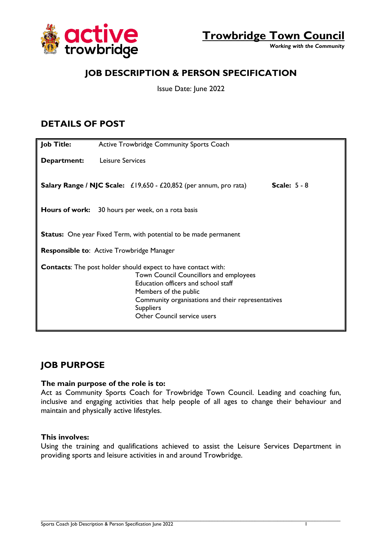



*Working with the Community*

## **JOB DESCRIPTION & PERSON SPECIFICATION**

Issue Date: June 2022

## **DETAILS OF POST**

| <b>Job Title:</b>                                                                                                                                                                                                                                                                                    | Active Trowbridge Community Sports Coach                                                   |  |  |
|------------------------------------------------------------------------------------------------------------------------------------------------------------------------------------------------------------------------------------------------------------------------------------------------------|--------------------------------------------------------------------------------------------|--|--|
| Department:                                                                                                                                                                                                                                                                                          | Leisure Services                                                                           |  |  |
|                                                                                                                                                                                                                                                                                                      | Scale: $5 - 8$<br><b>Salary Range / NJC Scale:</b> £19,650 - £20,852 (per annum, pro rata) |  |  |
|                                                                                                                                                                                                                                                                                                      | <b>Hours of work:</b> 30 hours per week, on a rota basis                                   |  |  |
| <b>Status:</b> One year Fixed Term, with potential to be made permanent                                                                                                                                                                                                                              |                                                                                            |  |  |
| <b>Responsible to: Active Trowbridge Manager</b>                                                                                                                                                                                                                                                     |                                                                                            |  |  |
| <b>Contacts:</b> The post holder should expect to have contact with:<br><b>Town Council Councillors and employees</b><br>Education officers and school staff<br>Members of the public<br>Community organisations and their representatives<br><b>Suppliers</b><br><b>Other Council service users</b> |                                                                                            |  |  |

### **JOB PURPOSE**

#### **The main purpose of the role is to:**

Act as Community Sports Coach for Trowbridge Town Council. Leading and coaching fun, inclusive and engaging activities that help people of all ages to change their behaviour and maintain and physically active lifestyles.

#### **This involves:**

Using the training and qualifications achieved to assist the Leisure Services Department in providing sports and leisure activities in and around Trowbridge.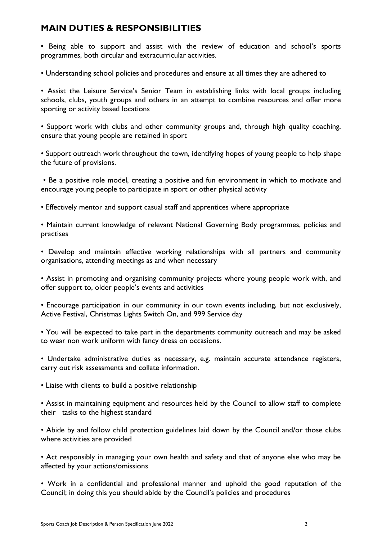### **MAIN DUTIES & RESPONSIBILITIES**

**•** Being able to support and assist with the review of education and school's sports programmes, both circular and extracurricular activities.

• Understanding school policies and procedures and ensure at all times they are adhered to

• Assist the Leisure Service's Senior Team in establishing links with local groups including schools, clubs, youth groups and others in an attempt to combine resources and offer more sporting or activity based locations

• Support work with clubs and other community groups and, through high quality coaching, ensure that young people are retained in sport

• Support outreach work throughout the town, identifying hopes of young people to help shape the future of provisions.

• Be a positive role model, creating a positive and fun environment in which to motivate and encourage young people to participate in sport or other physical activity

• Effectively mentor and support casual staff and apprentices where appropriate

• Maintain current knowledge of relevant National Governing Body programmes, policies and practises

• Develop and maintain effective working relationships with all partners and community organisations, attending meetings as and when necessary

• Assist in promoting and organising community projects where young people work with, and offer support to, older people's events and activities

• Encourage participation in our community in our town events including, but not exclusively, Active Festival, Christmas Lights Switch On, and 999 Service day

• You will be expected to take part in the departments community outreach and may be asked to wear non work uniform with fancy dress on occasions.

• Undertake administrative duties as necessary, e.g. maintain accurate attendance registers, carry out risk assessments and collate information.

• Liaise with clients to build a positive relationship

• Assist in maintaining equipment and resources held by the Council to allow staff to complete their tasks to the highest standard

• Abide by and follow child protection guidelines laid down by the Council and/or those clubs where activities are provided

• Act responsibly in managing your own health and safety and that of anyone else who may be affected by your actions/omissions

• Work in a confidential and professional manner and uphold the good reputation of the Council; in doing this you should abide by the Council's policies and procedures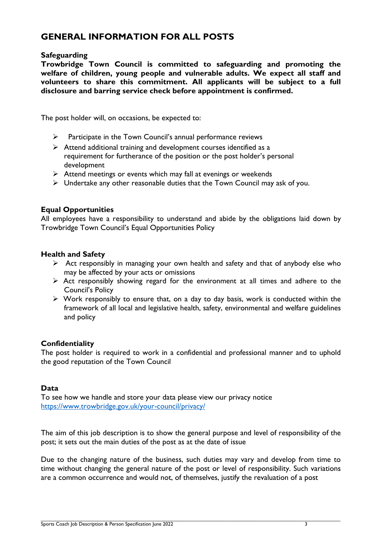## **GENERAL INFORMATION FOR ALL POSTS**

#### **Safeguarding**

**Trowbridge Town Council is committed to safeguarding and promoting the welfare of children, young people and vulnerable adults. We expect all staff and volunteers to share this commitment. All applicants will be subject to a full disclosure and barring service check before appointment is confirmed.** 

The post holder will, on occasions, be expected to:

- $\triangleright$  Participate in the Town Council's annual performance reviews
- $\triangleright$  Attend additional training and development courses identified as a requirement for furtherance of the position or the post holder's personal development
- $\triangleright$  Attend meetings or events which may fall at evenings or weekends
- $\triangleright$  Undertake any other reasonable duties that the Town Council may ask of you.

### **Equal Opportunities**

All employees have a responsibility to understand and abide by the obligations laid down by Trowbridge Town Council's Equal Opportunities Policy

#### **Health and Safety**

- $\triangleright$  Act responsibly in managing your own health and safety and that of anybody else who may be affected by your acts or omissions
- $\triangleright$  Act responsibly showing regard for the environment at all times and adhere to the Council's Policy
- $\triangleright$  Work responsibly to ensure that, on a day to day basis, work is conducted within the framework of all local and legislative health, safety, environmental and welfare guidelines and policy

### **Confidentiality**

The post holder is required to work in a confidential and professional manner and to uphold the good reputation of the Town Council

#### **Data**

To see how we handle and store your data please view our privacy notice <https://www.trowbridge.gov.uk/your-council/privacy/>

The aim of this job description is to show the general purpose and level of responsibility of the post; it sets out the main duties of the post as at the date of issue

Due to the changing nature of the business, such duties may vary and develop from time to time without changing the general nature of the post or level of responsibility. Such variations are a common occurrence and would not, of themselves, justify the revaluation of a post